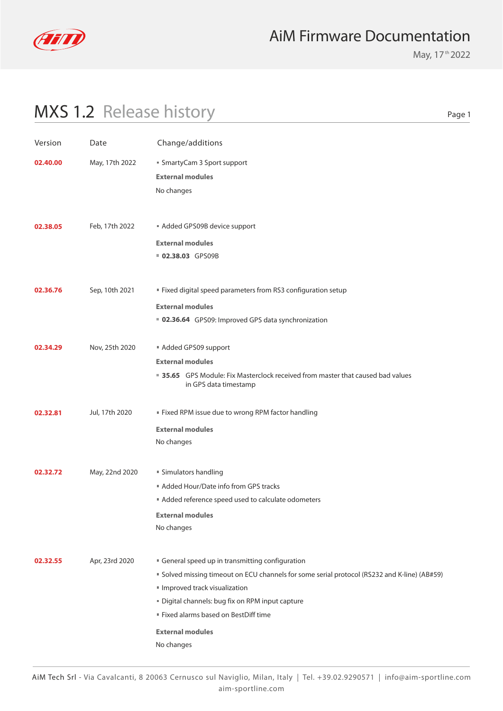

May, 17<sup>th</sup> 2022

| Version  | Date           | Change/additions                                                                                                                                                                                                                                                                                                 |
|----------|----------------|------------------------------------------------------------------------------------------------------------------------------------------------------------------------------------------------------------------------------------------------------------------------------------------------------------------|
| 02.40.00 | May, 17th 2022 | ■ SmartyCam 3 Sport support<br><b>External modules</b><br>No changes                                                                                                                                                                                                                                             |
| 02.38.05 | Feb, 17th 2022 | Added GPS09B device support<br><b>External modules</b><br>02.38.03 GPS09B                                                                                                                                                                                                                                        |
| 02.36.76 | Sep, 10th 2021 | " Fixed digital speed parameters from RS3 configuration setup<br><b>External modules</b><br>■ 02.36.64 GPS09: Improved GPS data synchronization                                                                                                                                                                  |
| 02.34.29 | Nov, 25th 2020 | Added GPS09 support<br><b>External modules</b><br>35.65 GPS Module: Fix Masterclock received from master that caused bad values<br>in GPS data timestamp                                                                                                                                                         |
| 02.32.81 | Jul, 17th 2020 | " Fixed RPM issue due to wrong RPM factor handling<br><b>External modules</b><br>No changes                                                                                                                                                                                                                      |
| 02.32.72 | May, 22nd 2020 | ■ Simulators handling<br>Added Hour/Date info from GPS tracks<br>Added reference speed used to calculate odometers<br><b>External modules</b><br>No changes                                                                                                                                                      |
| 02.32.55 | Apr, 23rd 2020 | General speed up in transmitting configuration<br>" Solved missing timeout on ECU channels for some serial protocol (RS232 and K-line) (AB#59)<br>Improved track visualization<br>Digital channels: bug fix on RPM input capture<br>Fixed alarms based on BestDiff time<br><b>External modules</b><br>No changes |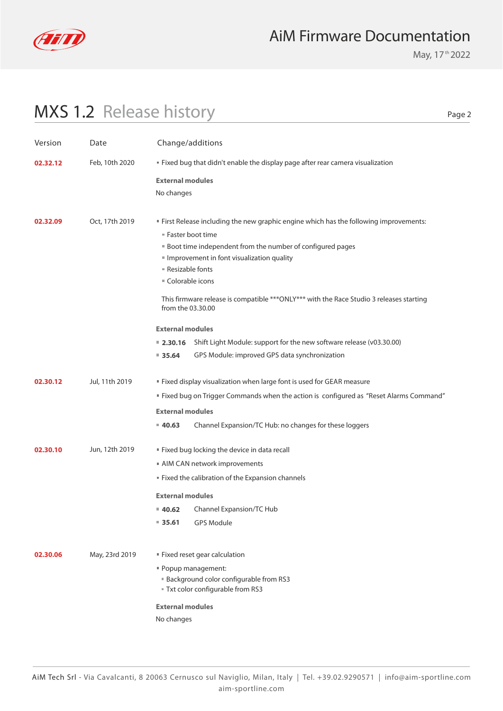

May, 17<sup>th</sup> 2022

| " First Release including the new graphic engine which has the following improvements:   |
|------------------------------------------------------------------------------------------|
|                                                                                          |
|                                                                                          |
|                                                                                          |
|                                                                                          |
|                                                                                          |
| This firmware release is compatible *** ONLY*** with the Race Studio 3 releases starting |
|                                                                                          |
| ■ 2.30.16 Shift Light Module: support for the new software release (v03.30.00)           |
|                                                                                          |
|                                                                                          |
|                                                                                          |
| " Fixed bug on Trigger Commands when the action is configured as "Reset Alarms Command"  |
|                                                                                          |
|                                                                                          |
|                                                                                          |
|                                                                                          |
|                                                                                          |
|                                                                                          |
|                                                                                          |
|                                                                                          |
|                                                                                          |
|                                                                                          |
|                                                                                          |
|                                                                                          |
|                                                                                          |
|                                                                                          |
|                                                                                          |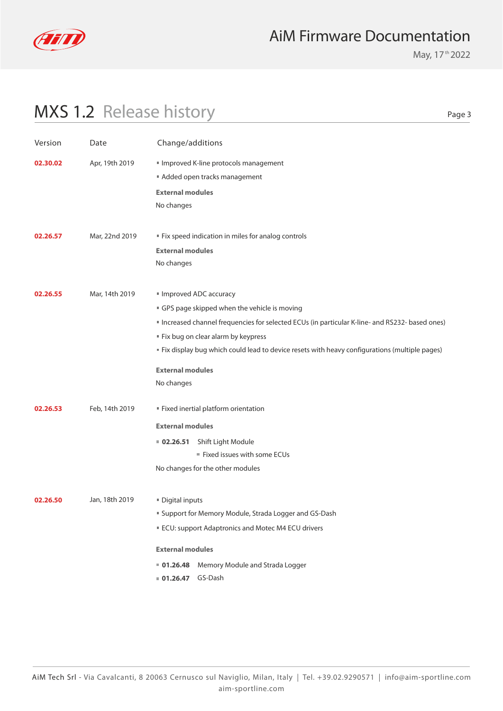

May, 17<sup>th</sup> 2022

| Version  | Date           | Change/additions                                                                                                                                                                                                                                                                                                                                           |
|----------|----------------|------------------------------------------------------------------------------------------------------------------------------------------------------------------------------------------------------------------------------------------------------------------------------------------------------------------------------------------------------------|
| 02.30.02 | Apr, 19th 2019 | Improved K-line protocols management<br>Added open tracks management<br><b>External modules</b><br>No changes                                                                                                                                                                                                                                              |
| 02.26.57 | Mar, 22nd 2019 | " Fix speed indication in miles for analog controls<br><b>External modules</b><br>No changes                                                                                                                                                                                                                                                               |
| 02.26.55 | Mar, 14th 2019 | Improved ADC accuracy<br>GPS page skipped when the vehicle is moving<br>" Increased channel frequencies for selected ECUs (in particular K-line- and RS232- based ones)<br>" Fix bug on clear alarm by keypress<br>" Fix display bug which could lead to device resets with heavy configurations (multiple pages)<br><b>External modules</b><br>No changes |
| 02.26.53 | Feb, 14th 2019 | Fixed inertial platform orientation<br><b>External modules</b><br>Shift Light Module<br>02.26.51<br>Fixed issues with some ECUs<br>No changes for the other modules                                                                                                                                                                                        |
| 02.26.50 | Jan, 18th 2019 | Digital inputs<br>" Support for Memory Module, Strada Logger and GS-Dash<br>ECU: support Adaptronics and Motec M4 ECU drivers<br><b>External modules</b><br>Memory Module and Strada Logger<br>01.26.48<br>01.26.47 GS-Dash                                                                                                                                |